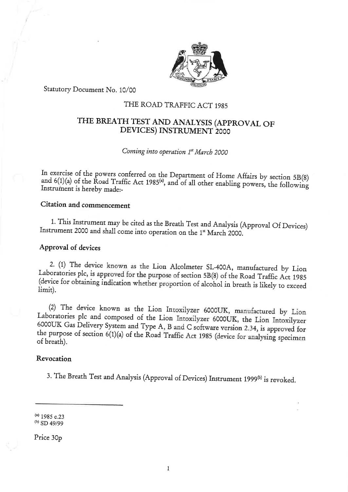

Statutory Document No. 10/00

# THE ROAD TRAFFIC ACT 1985

# THE BREATH TEST AND ANALYSIS (APPROVAL OF DEVICES) INSTRUMENT 2000

## Coming into operation 1<sup>st</sup> March 2000

In exercise of the powers conferred on the Department of Home Affairs by section 5B(8) and  $6(1)(a)$  of the Road Traffic Act 1985<sup>(a)</sup>, and of all other enabling powers, the following Instrument is hereby made:-

# Citation and commencement

1. This Instrument may be cited as the Breath Test and Analysis (Approval Of Devices) Instrument 2000 and shall come into operation on the 1" March 2000.

#### Approval of devices

2. (1) The device known as the Lion Alcolmeter SL-400A, manufactured by Lion Laboratories plc, is approved for the purpose of section 5B(8) of the Road Traffic Act 1985 (device for obtaining indication whether proportion of alcohol in breath is likely to exceed limit).

(2) The device known as the Lion Intoxilyzer 6000UK, manufactured by Lion Laboratories plc and composed of the Lion Intoxilyzer 6000UK, the Lion Intoxilyzer 6000UK Gas Delivery System and Type A, B and C software version 2.34, is approved for the purpose of section 6(1)(a) of the Road Traffic Act 1985 (device for analysing specimen of breath).

## Revocation

3. The Breath Test and Analysis (Approval of Devices) Instrument 1999<sup>(b)</sup> is revoked.

 $(1983 \, \text{C} \cdot \text{C})$  $(5D + 9999)$ 

Price 30p